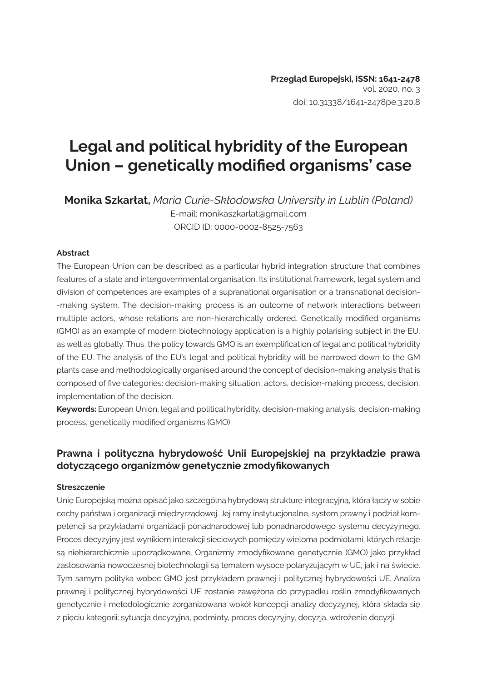# **Legal and political hybridity of the European Union – genetically modified organisms' case**

**Monika Szkarłat,** *Maria Curie-Skłodowska University in Lublin (Poland)* E-mail: monikaszkarlat@gmail.com ORCID ID: 0000-0002-8525-7563

#### **Abstract**

The European Union can be described as a particular hybrid integration structure that combines features of a state and intergovernmental organisation. Its institutional framework, legal system and division of competences are examples of a supranational organisation or a transnational decision- -making system. The decision-making process is an outcome of network interactions between multiple actors, whose relations are non-hierarchically ordered. Genetically modified organisms (GMO) as an example of modern biotechnology application is a highly polarising subject in the EU, as well as globally. Thus, the policy towards GMO is an exemplification of legal and political hybridity of the EU. The analysis of the EU's legal and political hybridity will be narrowed down to the GM plants case and methodologically organised around the concept of decision-making analysis that is composed of five categories: decision-making situation, actors, decision-making process, decision, implementation of the decision.

**Keywords:** European Union, legal and political hybridity, decision-making analysis, decision-making process, genetically modified organisms (GMO)

### **Prawna i polityczna hybrydowość Unii Europejskiej na przykładzie prawa dotyczącego organizmów genetycznie zmodyfikowanych**

#### **Streszczenie**

Unię Europejską można opisać jako szczególną hybrydową strukturę integracyjną, która łączy w sobie cechy państwa i organizacji międzyrządowej. Jej ramy instytucjonalne, system prawny i podział kompetencji są przykładami organizacji ponadnarodowej lub ponadnarodowego systemu decyzyjnego. Proces decyzyjny jest wynikiem interakcji sieciowych pomiędzy wieloma podmiotami, których relacje są niehierarchicznie uporządkowane. Organizmy zmodyfikowane genetycznie (GMO) jako przykład zastosowania nowoczesnej biotechnologii są tematem wysoce polaryzującym w UE, jak i na świecie. Tym samym polityka wobec GMO jest przykładem prawnej i politycznej hybrydowości UE. Analiza prawnej i politycznej hybrydowości UE zostanie zawężona do przypadku roślin zmodyfikowanych genetycznie i metodologicznie zorganizowana wokół koncepcji analizy decyzyjnej, która składa się z pięciu kategorii: sytuacja decyzyjna, podmioty, proces decyzyjny, decyzja, wdrożenie decyzji.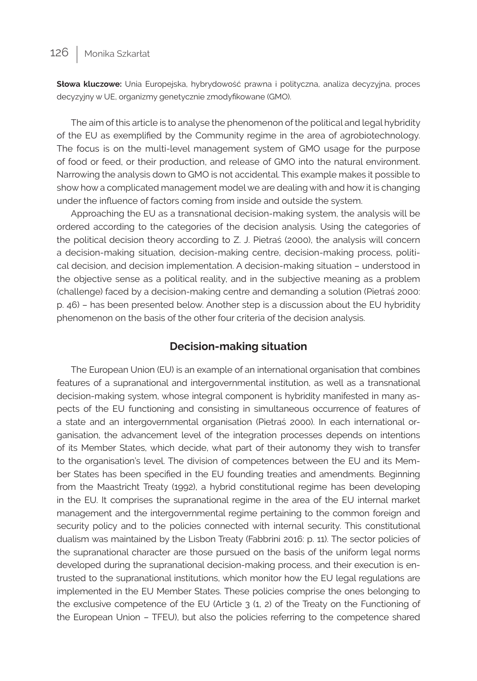**Słowa kluczowe:** Unia Europejska, hybrydowość prawna i polityczna, analiza decyzyjna, proces decyzyjny w UE, organizmy genetycznie zmodyfikowane (GMO).

The aim of this article is to analyse the phenomenon of the political and legal hybridity of the EU as exemplified by the Community regime in the area of agrobiotechnology. The focus is on the multi-level management system of GMO usage for the purpose of food or feed, or their production, and release of GMO into the natural environment. Narrowing the analysis down to GMO is not accidental. This example makes it possible to show how a complicated management model we are dealing with and how it is changing under the influence of factors coming from inside and outside the system.

Approaching the EU as a transnational decision-making system, the analysis will be ordered according to the categories of the decision analysis. Using the categories of the political decision theory according to Z. J. Pietraś (2000), the analysis will concern a decision-making situation, decision-making centre, decision-making process, political decision, and decision implementation. A decision-making situation – understood in the objective sense as a political reality, and in the subjective meaning as a problem (challenge) faced by a decision-making centre and demanding a solution (Pietraś 2000: p. 46) – has been presented below. Another step is a discussion about the EU hybridity phenomenon on the basis of the other four criteria of the decision analysis.

#### **Decision-making situation**

The European Union (EU) is an example of an international organisation that combines features of a supranational and intergovernmental institution, as well as a transnational decision-making system, whose integral component is hybridity manifested in many aspects of the EU functioning and consisting in simultaneous occurrence of features of a state and an intergovernmental organisation (Pietraś 2000). In each international organisation, the advancement level of the integration processes depends on intentions of its Member States, which decide, what part of their autonomy they wish to transfer to the organisation's level. The division of competences between the EU and its Member States has been specified in the EU founding treaties and amendments. Beginning from the Maastricht Treaty (1992), a hybrid constitutional regime has been developing in the EU. It comprises the supranational regime in the area of the EU internal market management and the intergovernmental regime pertaining to the common foreign and security policy and to the policies connected with internal security. This constitutional dualism was maintained by the Lisbon Treaty (Fabbrini 2016: p. 11). The sector policies of the supranational character are those pursued on the basis of the uniform legal norms developed during the supranational decision-making process, and their execution is entrusted to the supranational institutions, which monitor how the EU legal regulations are implemented in the EU Member States. These policies comprise the ones belonging to the exclusive competence of the EU (Article 3 (1, 2) of the Treaty on the Functioning of the European Union – TFEU), but also the policies referring to the competence shared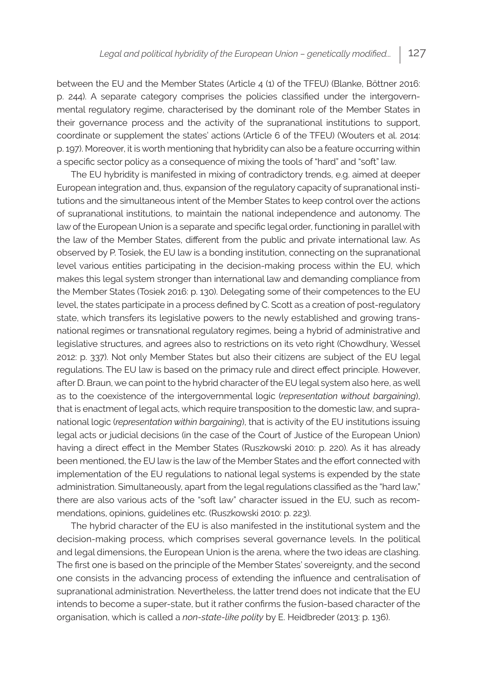between the EU and the Member States (Article 4 (1) of the TFEU) (Blanke, Böttner 2016: p. 244). A separate category comprises the policies classified under the intergovernmental regulatory regime, characterised by the dominant role of the Member States in their governance process and the activity of the supranational institutions to support, coordinate or supplement the states' actions (Article 6 of the TFEU) (Wouters et al. 2014: p. 197). Moreover, it is worth mentioning that hybridity can also be a feature occurring within a specific sector policy as a consequence of mixing the tools of "hard" and "soft" law.

The EU hybridity is manifested in mixing of contradictory trends, e.g. aimed at deeper European integration and, thus, expansion of the regulatory capacity of supranational institutions and the simultaneous intent of the Member States to keep control over the actions of supranational institutions, to maintain the national independence and autonomy. The law of the European Union is a separate and specific legal order, functioning in parallel with the law of the Member States, different from the public and private international law. As observed by P. Tosiek, the EU law is a bonding institution, connecting on the supranational level various entities participating in the decision-making process within the EU, which makes this legal system stronger than international law and demanding compliance from the Member States (Tosiek 2016: p. 130). Delegating some of their competences to the EU level, the states participate in a process defined by C. Scott as a creation of post-regulatory state, which transfers its legislative powers to the newly established and growing transnational regimes or transnational regulatory regimes, being a hybrid of administrative and legislative structures, and agrees also to restrictions on its veto right (Chowdhury, Wessel 2012: p. 337). Not only Member States but also their citizens are subject of the EU legal regulations. The EU law is based on the primacy rule and direct effect principle. However, after D. Braun, we can point to the hybrid character of the EU legal system also here, as well as to the coexistence of the intergovernmental logic (*representation without bargaining*), that is enactment of legal acts, which require transposition to the domestic law, and supranational logic (*representation within bargaining*), that is activity of the EU institutions issuing legal acts or judicial decisions (in the case of the Court of Justice of the European Union) having a direct effect in the Member States (Ruszkowski 2010: p. 220). As it has already been mentioned, the EU law is the law of the Member States and the effort connected with implementation of the EU regulations to national legal systems is expended by the state administration. Simultaneously, apart from the legal regulations classified as the "hard law," there are also various acts of the "soft law" character issued in the EU, such as recommendations, opinions, guidelines etc. (Ruszkowski 2010: p. 223).

The hybrid character of the EU is also manifested in the institutional system and the decision-making process, which comprises several governance levels. In the political and legal dimensions, the European Union is the arena, where the two ideas are clashing. The first one is based on the principle of the Member States' sovereignty, and the second one consists in the advancing process of extending the influence and centralisation of supranational administration. Nevertheless, the latter trend does not indicate that the EU intends to become a super-state, but it rather confirms the fusion-based character of the organisation, which is called a *non-state-like polity* by E. Heidbreder (2013: p. 136).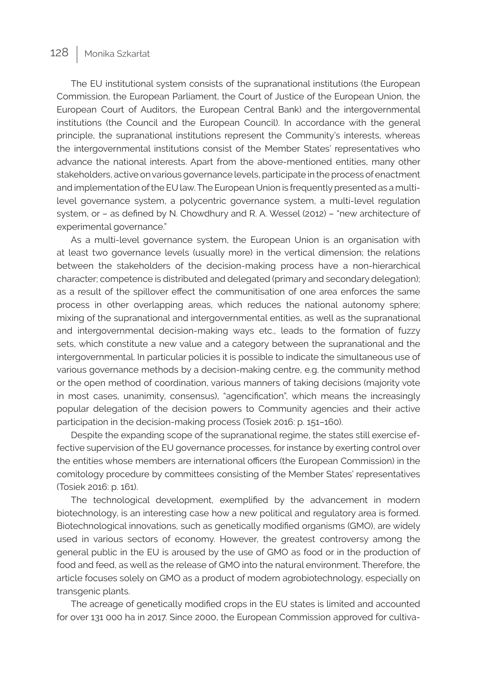The EU institutional system consists of the supranational institutions (the European Commission, the European Parliament, the Court of Justice of the European Union, the European Court of Auditors, the European Central Bank) and the intergovernmental institutions (the Council and the European Council). In accordance with the general principle, the supranational institutions represent the Community's interests, whereas the intergovernmental institutions consist of the Member States' representatives who advance the national interests. Apart from the above-mentioned entities, many other stakeholders, active on various governance levels, participate in the process of enactment and implementation of the EU law. The European Union is frequently presented as a multilevel governance system, a polycentric governance system, a multi-level regulation system, or – as defined by N. Chowdhury and R. A. Wessel (2012) – "new architecture of experimental governance."

As a multi-level governance system, the European Union is an organisation with at least two governance levels (usually more) in the vertical dimension; the relations between the stakeholders of the decision-making process have a non-hierarchical character; competence is distributed and delegated (primary and secondary delegation); as a result of the spillover effect the communitisation of one area enforces the same process in other overlapping areas, which reduces the national autonomy sphere; mixing of the supranational and intergovernmental entities, as well as the supranational and intergovernmental decision-making ways etc., leads to the formation of fuzzy sets, which constitute a new value and a category between the supranational and the intergovernmental. In particular policies it is possible to indicate the simultaneous use of various governance methods by a decision-making centre, e.g. the community method or the open method of coordination, various manners of taking decisions (majority vote in most cases, unanimity, consensus), "agencification", which means the increasingly popular delegation of the decision powers to Community agencies and their active participation in the decision-making process (Tosiek 2016: p. 151–160).

Despite the expanding scope of the supranational regime, the states still exercise effective supervision of the EU governance processes, for instance by exerting control over the entities whose members are international officers (the European Commission) in the comitology procedure by committees consisting of the Member States' representatives (Tosiek 2016: p. 161).

The technological development, exemplified by the advancement in modern biotechnology, is an interesting case how a new political and regulatory area is formed. Biotechnological innovations, such as genetically modified organisms (GMO), are widely used in various sectors of economy. However, the greatest controversy among the general public in the EU is aroused by the use of GMO as food or in the production of food and feed, as well as the release of GMO into the natural environment. Therefore, the article focuses solely on GMO as a product of modern agrobiotechnology, especially on transgenic plants.

The acreage of genetically modified crops in the EU states is limited and accounted for over 131 000 ha in 2017. Since 2000, the European Commission approved for cultiva-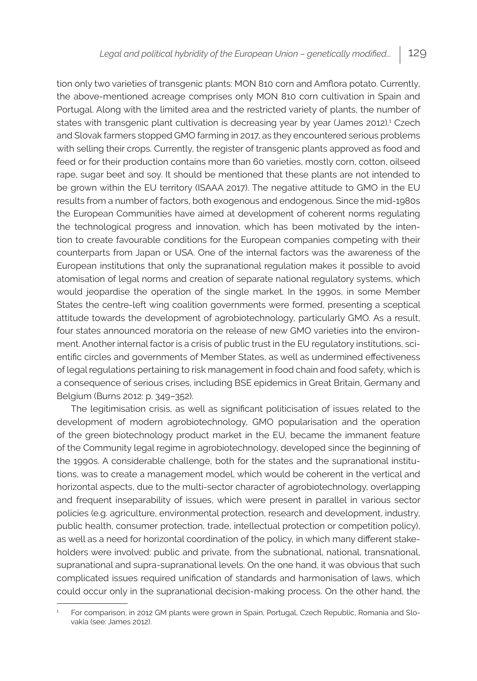tion only two varieties of transgenic plants: MON 810 corn and Amflora potato. Currently, the above-mentioned acreage comprises only MON 810 corn cultivation in Spain and Portugal. Along with the limited area and the restricted variety of plants, the number of states with transgenic plant cultivation is decreasing year by year (James 2012).<sup>1</sup> Czech and Slovak farmers stopped GMO farming in 2017, as they encountered serious problems with selling their crops. Currently, the register of transgenic plants approved as food and feed or for their production contains more than 60 varieties, mostly corn, cotton, oilseed rape, sugar beet and soy. It should be mentioned that these plants are not intended to be grown within the EU territory (ISAAA 2017). The negative attitude to GMO in the EU results from a number of factors, both exogenous and endogenous. Since the mid-1980s the European Communities have aimed at development of coherent norms regulating the technological progress and innovation, which has been motivated by the intention to create favourable conditions for the European companies competing with their counterparts from Japan or USA. One of the internal factors was the awareness of the European institutions that only the supranational regulation makes it possible to avoid atomisation of legal norms and creation of separate national regulatory systems, which would jeopardise the operation of the single market. In the 1990s, in some Member States the centre-left wing coalition governments were formed, presenting a sceptical attitude towards the development of agrobiotechnology, particularly GMO. As a result, four states announced moratoria on the release of new GMO varieties into the environment. Another internal factor is a crisis of public trust in the EU regulatory institutions, scientific circles and governments of Member States, as well as undermined effectiveness of legal regulations pertaining to risk management in food chain and food safety, which is a consequence of serious crises, including BSE epidemics in Great Britain, Germany and Belgium (Burns 2012: p. 349–352).

The legitimisation crisis, as well as significant politicisation of issues related to the development of modern agrobiotechnology, GMO popularisation and the operation of the green biotechnology product market in the EU, became the immanent feature of the Community legal regime in agrobiotechnology, developed since the beginning of the 1990s. A considerable challenge, both for the states and the supranational institutions, was to create a management model, which would be coherent in the vertical and horizontal aspects, due to the multi-sector character of agrobiotechnology, overlapping and frequent inseparability of issues, which were present in parallel in various sector policies (e.g. agriculture, environmental protection, research and development, industry, public health, consumer protection, trade, intellectual protection or competition policy), as well as a need for horizontal coordination of the policy, in which many different stakeholders were involved: public and private, from the subnational, national, transnational, supranational and supra-supranational levels. On the one hand, it was obvious that such complicated issues required unification of standards and harmonisation of laws, which could occur only in the supranational decision-making process. On the other hand, the

<sup>1</sup> For comparison, in 2012 GM plants were grown in Spain, Portugal, Czech Republic, Romania and Slovakia (see: James 2012).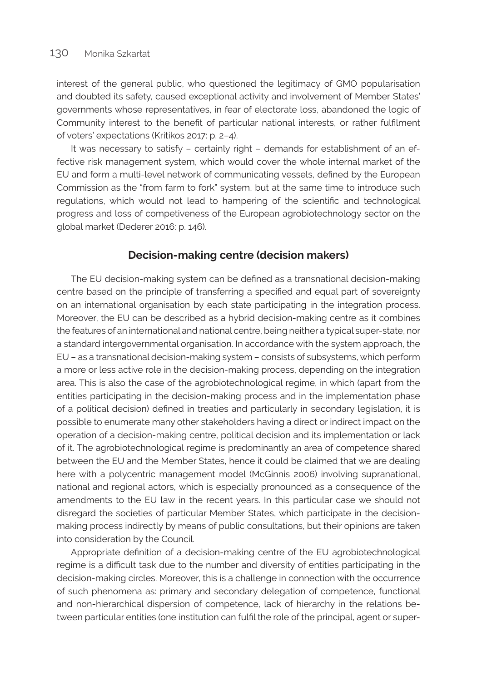interest of the general public, who questioned the legitimacy of GMO popularisation and doubted its safety, caused exceptional activity and involvement of Member States' governments whose representatives, in fear of electorate loss, abandoned the logic of Community interest to the benefit of particular national interests, or rather fulfilment of voters' expectations (Kritikos 2017: p. 2–4).

It was necessary to satisfy – certainly right – demands for establishment of an effective risk management system, which would cover the whole internal market of the EU and form a multi-level network of communicating vessels, defined by the European Commission as the "from farm to fork" system, but at the same time to introduce such regulations, which would not lead to hampering of the scientific and technological progress and loss of competiveness of the European agrobiotechnology sector on the global market (Dederer 2016: p. 146).

#### **Decision-making centre (decision makers)**

The EU decision-making system can be defined as a transnational decision-making centre based on the principle of transferring a specified and equal part of sovereignty on an international organisation by each state participating in the integration process. Moreover, the EU can be described as a hybrid decision-making centre as it combines the features of an international and national centre, being neither a typical super-state, nor a standard intergovernmental organisation. In accordance with the system approach, the EU – as a transnational decision-making system – consists of subsystems, which perform a more or less active role in the decision-making process, depending on the integration area. This is also the case of the agrobiotechnological regime, in which (apart from the entities participating in the decision-making process and in the implementation phase of a political decision) defined in treaties and particularly in secondary legislation, it is possible to enumerate many other stakeholders having a direct or indirect impact on the operation of a decision-making centre, political decision and its implementation or lack of it. The agrobiotechnological regime is predominantly an area of competence shared between the EU and the Member States, hence it could be claimed that we are dealing here with a polycentric management model (McGinnis 2006) involving supranational, national and regional actors, which is especially pronounced as a consequence of the amendments to the EU law in the recent years. In this particular case we should not disregard the societies of particular Member States, which participate in the decisionmaking process indirectly by means of public consultations, but their opinions are taken into consideration by the Council.

Appropriate definition of a decision-making centre of the EU agrobiotechnological regime is a difficult task due to the number and diversity of entities participating in the decision-making circles. Moreover, this is a challenge in connection with the occurrence of such phenomena as: primary and secondary delegation of competence, functional and non-hierarchical dispersion of competence, lack of hierarchy in the relations between particular entities (one institution can fulfil the role of the principal, agent or super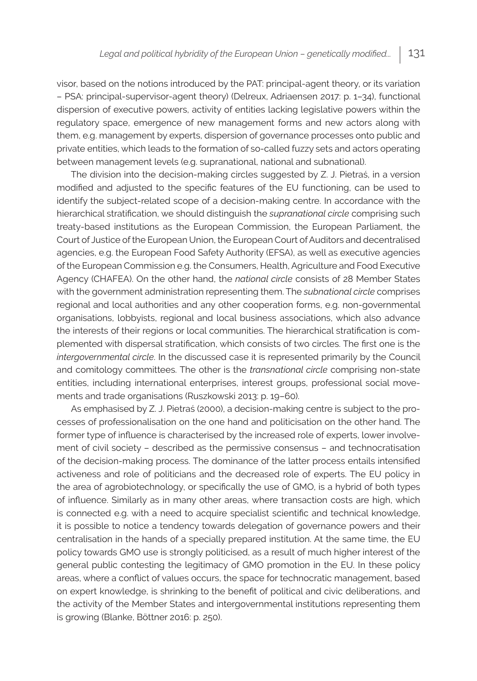visor, based on the notions introduced by the PAT: principal-agent theory, or its variation – PSA: principal-supervisor-agent theory) (Delreux, Adriaensen 2017: p. 1–34), functional dispersion of executive powers, activity of entities lacking legislative powers within the regulatory space, emergence of new management forms and new actors along with them, e.g. management by experts, dispersion of governance processes onto public and private entities, which leads to the formation of so-called fuzzy sets and actors operating between management levels (e.g. supranational, national and subnational).

The division into the decision-making circles suggested by Z. J. Pietraś, in a version modified and adjusted to the specific features of the EU functioning, can be used to identify the subject-related scope of a decision-making centre. In accordance with the hierarchical stratification, we should distinguish the *supranational circle* comprising such treaty-based institutions as the European Commission, the European Parliament, the Court of Justice of the European Union, the European Court of Auditors and decentralised agencies, e.g. the European Food Safety Authority (EFSA), as well as executive agencies of the European Commission e.g. the Consumers, Health, Agriculture and Food Executive Agency (CHAFEA). On the other hand, the *national circle* consists of 28 Member States with the government administration representing them. The *subnational circle* comprises regional and local authorities and any other cooperation forms, e.g. non-governmental organisations, lobbyists, regional and local business associations, which also advance the interests of their regions or local communities. The hierarchical stratification is complemented with dispersal stratification, which consists of two circles. The first one is the *intergovernmental circle*. In the discussed case it is represented primarily by the Council and comitology committees. The other is the *transnational circle* comprising non-state entities, including international enterprises, interest groups, professional social movements and trade organisations (Ruszkowski 2013: p. 19–60).

As emphasised by Z. J. Pietraś (2000), a decision-making centre is subject to the processes of professionalisation on the one hand and politicisation on the other hand. The former type of influence is characterised by the increased role of experts, lower involvement of civil society – described as the permissive consensus – and technocratisation of the decision-making process. The dominance of the latter process entails intensified activeness and role of politicians and the decreased role of experts. The EU policy in the area of agrobiotechnology, or specifically the use of GMO, is a hybrid of both types of influence. Similarly as in many other areas, where transaction costs are high, which is connected e.g. with a need to acquire specialist scientific and technical knowledge, it is possible to notice a tendency towards delegation of governance powers and their centralisation in the hands of a specially prepared institution. At the same time, the EU policy towards GMO use is strongly politicised, as a result of much higher interest of the general public contesting the legitimacy of GMO promotion in the EU. In these policy areas, where a conflict of values occurs, the space for technocratic management, based on expert knowledge, is shrinking to the benefit of political and civic deliberations, and the activity of the Member States and intergovernmental institutions representing them is growing (Blanke, Böttner 2016: p. 250).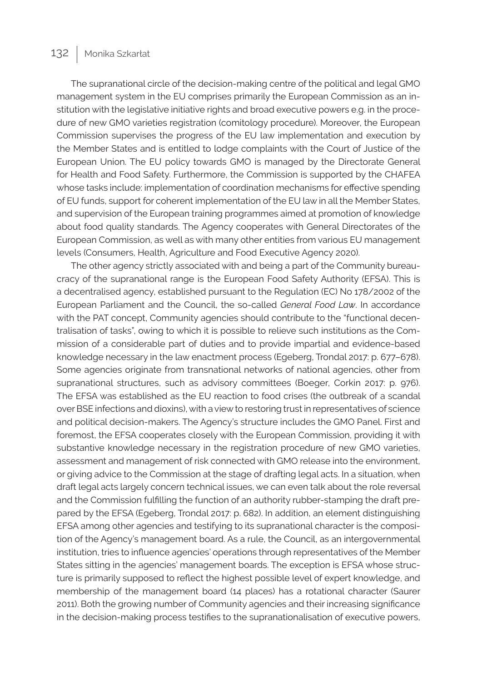The supranational circle of the decision-making centre of the political and legal GMO management system in the EU comprises primarily the European Commission as an institution with the legislative initiative rights and broad executive powers e.g. in the procedure of new GMO varieties registration (comitology procedure). Moreover, the European Commission supervises the progress of the EU law implementation and execution by the Member States and is entitled to lodge complaints with the Court of Justice of the European Union. The EU policy towards GMO is managed by the Directorate General for Health and Food Safety. Furthermore, the Commission is supported by the CHAFEA whose tasks include: implementation of coordination mechanisms for effective spending of EU funds, support for coherent implementation of the EU law in all the Member States, and supervision of the European training programmes aimed at promotion of knowledge about food quality standards. The Agency cooperates with General Directorates of the European Commission, as well as with many other entities from various EU management levels (Consumers, Health, Agriculture and Food Executive Agency 2020).

The other agency strictly associated with and being a part of the Community bureaucracy of the supranational range is the European Food Safety Authority (EFSA). This is a decentralised agency, established pursuant to the Regulation (EC) No 178/2002 of the European Parliament and the Council, the so-called *General Food Law*. In accordance with the PAT concept, Community agencies should contribute to the "functional decentralisation of tasks", owing to which it is possible to relieve such institutions as the Commission of a considerable part of duties and to provide impartial and evidence-based knowledge necessary in the law enactment process (Egeberg, Trondal 2017: p. 677–678). Some agencies originate from transnational networks of national agencies, other from supranational structures, such as advisory committees (Boeger, Corkin 2017: p. 976). The EFSA was established as the EU reaction to food crises (the outbreak of a scandal over BSE infections and dioxins), with a view to restoring trust in representatives of science and political decision-makers. The Agency's structure includes the GMO Panel. First and foremost, the EFSA cooperates closely with the European Commission, providing it with substantive knowledge necessary in the registration procedure of new GMO varieties, assessment and management of risk connected with GMO release into the environment, or giving advice to the Commission at the stage of drafting legal acts. In a situation, when draft legal acts largely concern technical issues, we can even talk about the role reversal and the Commission fulfilling the function of an authority rubber-stamping the draft prepared by the EFSA (Egeberg, Trondal 2017: p. 682). In addition, an element distinguishing EFSA among other agencies and testifying to its supranational character is the composition of the Agency's management board. As a rule, the Council, as an intergovernmental institution, tries to influence agencies' operations through representatives of the Member States sitting in the agencies' management boards. The exception is EFSA whose structure is primarily supposed to reflect the highest possible level of expert knowledge, and membership of the management board (14 places) has a rotational character (Saurer 2011). Both the growing number of Community agencies and their increasing significance in the decision-making process testifies to the supranationalisation of executive powers,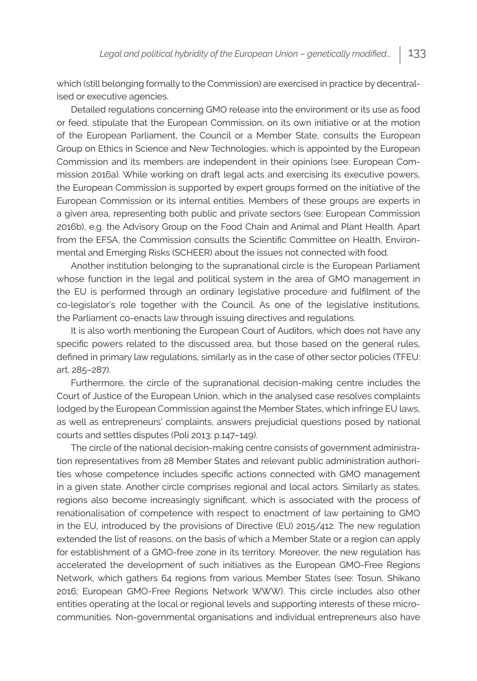which (still belonging formally to the Commission) are exercised in practice by decentralised or executive agencies.

Detailed regulations concerning GMO release into the environment or its use as food or feed, stipulate that the European Commission, on its own initiative or at the motion of the European Parliament, the Council or a Member State, consults the European Group on Ethics in Science and New Technologies, which is appointed by the European Commission and its members are independent in their opinions (see: European Commission 2016a). While working on draft legal acts and exercising its executive powers, the European Commission is supported by expert groups formed on the initiative of the European Commission or its internal entities. Members of these groups are experts in a given area, representing both public and private sectors (see: European Commission 2016b), e.g. the Advisory Group on the Food Chain and Animal and Plant Health. Apart from the EFSA, the Commission consults the Scientific Committee on Health, Environmental and Emerging Risks (SCHEER) about the issues not connected with food.

Another institution belonging to the supranational circle is the European Parliament whose function in the legal and political system in the area of GMO management in the EU is performed through an ordinary legislative procedure and fulfilment of the co-legislator's role together with the Council. As one of the legislative institutions, the Parliament co-enacts law through issuing directives and regulations.

It is also worth mentioning the European Court of Auditors, which does not have any specific powers related to the discussed area, but those based on the general rules, defined in primary law regulations, similarly as in the case of other sector policies (TFEU: art. 285–287).

Furthermore, the circle of the supranational decision-making centre includes the Court of Justice of the European Union, which in the analysed case resolves complaints lodged by the European Commission against the Member States, which infringe EU laws, as well as entrepreneurs' complaints, answers prejudicial questions posed by national courts and settles disputes (Poli 2013: p.147–149).

The circle of the national decision-making centre consists of government administration representatives from 28 Member States and relevant public administration authorities whose competence includes specific actions connected with GMO management in a given state. Another circle comprises regional and local actors. Similarly as states, regions also become increasingly significant, which is associated with the process of renationalisation of competence with respect to enactment of law pertaining to GMO in the EU, introduced by the provisions of Directive (EU) 2015/412. The new regulation extended the list of reasons, on the basis of which a Member State or a region can apply for establishment of a GMO-free zone in its territory. Moreover, the new regulation has accelerated the development of such initiatives as the European GMO-Free Regions Network, which gathers 64 regions from various Member States (see: Tosun, Shikano 2016; European GMO-Free Regions Network WWW). This circle includes also other entities operating at the local or regional levels and supporting interests of these microcommunities. Non-governmental organisations and individual entrepreneurs also have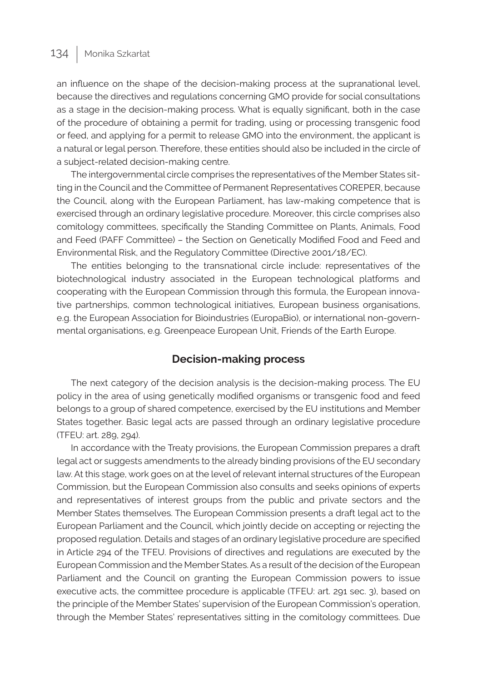an influence on the shape of the decision-making process at the supranational level, because the directives and regulations concerning GMO provide for social consultations as a stage in the decision-making process. What is equally significant, both in the case of the procedure of obtaining a permit for trading, using or processing transgenic food or feed, and applying for a permit to release GMO into the environment, the applicant is a natural or legal person. Therefore, these entities should also be included in the circle of a subject-related decision-making centre.

The intergovernmental circle comprises the representatives of the Member States sitting in the Council and the Committee of Permanent Representatives COREPER, because the Council, along with the European Parliament, has law-making competence that is exercised through an ordinary legislative procedure. Moreover, this circle comprises also comitology committees, specifically the Standing Committee on Plants, Animals, Food and Feed (PAFF Committee) – the Section on Genetically Modified Food and Feed and Environmental Risk, and the Regulatory Committee (Directive 2001/18/EC).

The entities belonging to the transnational circle include: representatives of the biotechnological industry associated in the European technological platforms and cooperating with the European Commission through this formula, the European innovative partnerships, common technological initiatives, European business organisations, e.g. the European Association for Bioindustries (EuropaBio), or international non-governmental organisations, e.g. Greenpeace European Unit, Friends of the Earth Europe.

#### **Decision-making process**

The next category of the decision analysis is the decision-making process. The EU policy in the area of using genetically modified organisms or transgenic food and feed belongs to a group of shared competence, exercised by the EU institutions and Member States together. Basic legal acts are passed through an ordinary legislative procedure (TFEU: art. 289, 294).

In accordance with the Treaty provisions, the European Commission prepares a draft legal act or suggests amendments to the already binding provisions of the EU secondary law. At this stage, work goes on at the level of relevant internal structures of the European Commission, but the European Commission also consults and seeks opinions of experts and representatives of interest groups from the public and private sectors and the Member States themselves. The European Commission presents a draft legal act to the European Parliament and the Council, which jointly decide on accepting or rejecting the proposed regulation. Details and stages of an ordinary legislative procedure are specified in Article 294 of the TFEU. Provisions of directives and regulations are executed by the European Commission and the Member States. As a result of the decision of the European Parliament and the Council on granting the European Commission powers to issue executive acts, the committee procedure is applicable (TFEU: art. 291 sec. 3), based on the principle of the Member States' supervision of the European Commission's operation, through the Member States' representatives sitting in the comitology committees. Due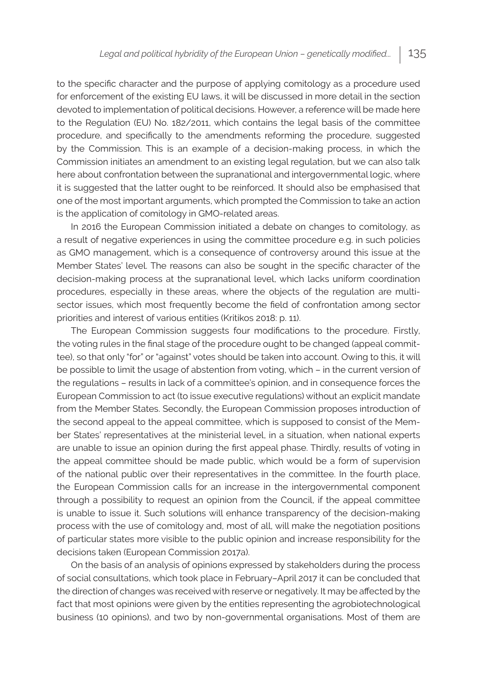to the specific character and the purpose of applying comitology as a procedure used for enforcement of the existing EU laws, it will be discussed in more detail in the section devoted to implementation of political decisions. However, a reference will be made here to the Regulation (EU) No. 182/2011, which contains the legal basis of the committee procedure, and specifically to the amendments reforming the procedure, suggested by the Commission. This is an example of a decision-making process, in which the Commission initiates an amendment to an existing legal regulation, but we can also talk here about confrontation between the supranational and intergovernmental logic, where it is suggested that the latter ought to be reinforced. It should also be emphasised that one of the most important arguments, which prompted the Commission to take an action is the application of comitology in GMO-related areas.

In 2016 the European Commission initiated a debate on changes to comitology, as a result of negative experiences in using the committee procedure e.g. in such policies as GMO management, which is a consequence of controversy around this issue at the Member States' level. The reasons can also be sought in the specific character of the decision-making process at the supranational level, which lacks uniform coordination procedures, especially in these areas, where the objects of the regulation are multisector issues, which most frequently become the field of confrontation among sector priorities and interest of various entities (Kritikos 2018: p. 11).

The European Commission suggests four modifications to the procedure. Firstly, the voting rules in the final stage of the procedure ought to be changed (appeal committee), so that only "for" or "against" votes should be taken into account. Owing to this, it will be possible to limit the usage of abstention from voting, which – in the current version of the regulations – results in lack of a committee's opinion, and in consequence forces the European Commission to act (to issue executive regulations) without an explicit mandate from the Member States. Secondly, the European Commission proposes introduction of the second appeal to the appeal committee, which is supposed to consist of the Member States' representatives at the ministerial level, in a situation, when national experts are unable to issue an opinion during the first appeal phase. Thirdly, results of voting in the appeal committee should be made public, which would be a form of supervision of the national public over their representatives in the committee. In the fourth place, the European Commission calls for an increase in the intergovernmental component through a possibility to request an opinion from the Council, if the appeal committee is unable to issue it. Such solutions will enhance transparency of the decision-making process with the use of comitology and, most of all, will make the negotiation positions of particular states more visible to the public opinion and increase responsibility for the decisions taken (European Commission 2017a).

On the basis of an analysis of opinions expressed by stakeholders during the process of social consultations, which took place in February–April 2017 it can be concluded that the direction of changes was received with reserve or negatively. It may be affected by the fact that most opinions were given by the entities representing the agrobiotechnological business (10 opinions), and two by non-governmental organisations. Most of them are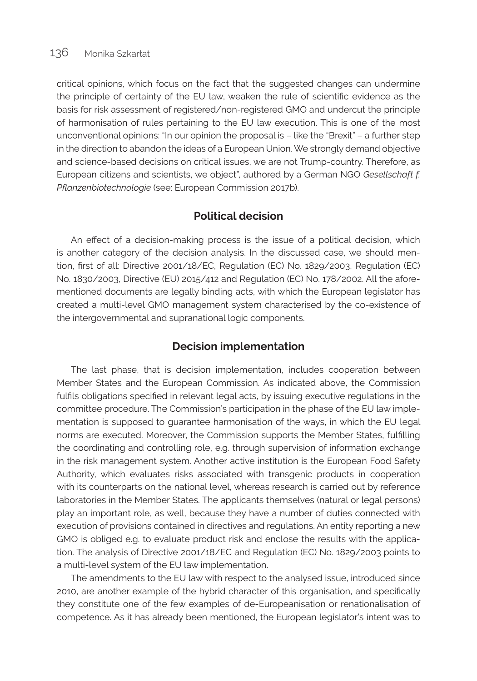critical opinions, which focus on the fact that the suggested changes can undermine the principle of certainty of the EU law, weaken the rule of scientific evidence as the basis for risk assessment of registered/non-registered GMO and undercut the principle of harmonisation of rules pertaining to the EU law execution. This is one of the most unconventional opinions: "In our opinion the proposal is – like the "Brexit" – a further step in the direction to abandon the ideas of a European Union. We strongly demand objective and science-based decisions on critical issues, we are not Trump-country. Therefore, as European citizens and scientists, we object", authored by a German NGO *Gesellschaft f. Pflanzenbiotechnologie* (see: European Commission 2017b).

### **Political decision**

An effect of a decision-making process is the issue of a political decision, which is another category of the decision analysis. In the discussed case, we should mention, first of all: Directive 2001/18/EC, Regulation (EC) No. 1829/2003, Regulation (EC) No. 1830/2003, Directive (EU) 2015/412 and Regulation (EC) No. 178/2002. All the aforementioned documents are legally binding acts, with which the European legislator has created a multi-level GMO management system characterised by the co-existence of the intergovernmental and supranational logic components.

#### **Decision implementation**

The last phase, that is decision implementation, includes cooperation between Member States and the European Commission. As indicated above, the Commission fulfils obligations specified in relevant legal acts, by issuing executive regulations in the committee procedure. The Commission's participation in the phase of the EU law implementation is supposed to guarantee harmonisation of the ways, in which the EU legal norms are executed. Moreover, the Commission supports the Member States, fulfilling the coordinating and controlling role, e.g. through supervision of information exchange in the risk management system. Another active institution is the European Food Safety Authority, which evaluates risks associated with transgenic products in cooperation with its counterparts on the national level, whereas research is carried out by reference laboratories in the Member States. The applicants themselves (natural or legal persons) play an important role, as well, because they have a number of duties connected with execution of provisions contained in directives and regulations. An entity reporting a new GMO is obliged e.g. to evaluate product risk and enclose the results with the application. The analysis of Directive 2001/18/EC and Regulation (EC) No. 1829/2003 points to a multi-level system of the EU law implementation.

The amendments to the EU law with respect to the analysed issue, introduced since 2010, are another example of the hybrid character of this organisation, and specifically they constitute one of the few examples of de-Europeanisation or renationalisation of competence. As it has already been mentioned, the European legislator's intent was to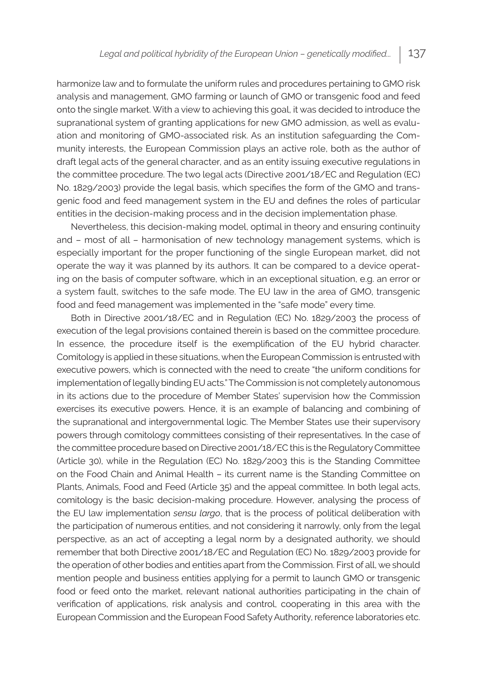harmonize law and to formulate the uniform rules and procedures pertaining to GMO risk analysis and management, GMO farming or launch of GMO or transgenic food and feed onto the single market. With a view to achieving this goal, it was decided to introduce the supranational system of granting applications for new GMO admission, as well as evaluation and monitoring of GMO-associated risk. As an institution safeguarding the Community interests, the European Commission plays an active role, both as the author of draft legal acts of the general character, and as an entity issuing executive regulations in the committee procedure. The two legal acts (Directive 2001/18/EC and Regulation (EC) No. 1829/2003) provide the legal basis, which specifies the form of the GMO and transgenic food and feed management system in the EU and defines the roles of particular entities in the decision-making process and in the decision implementation phase.

Nevertheless, this decision-making model, optimal in theory and ensuring continuity and – most of all – harmonisation of new technology management systems, which is especially important for the proper functioning of the single European market, did not operate the way it was planned by its authors. It can be compared to a device operating on the basis of computer software, which in an exceptional situation, e.g. an error or a system fault, switches to the safe mode. The EU law in the area of GMO, transgenic food and feed management was implemented in the "safe mode" every time.

Both in Directive 2001/18/EC and in Regulation (EC) No. 1829/2003 the process of execution of the legal provisions contained therein is based on the committee procedure. In essence, the procedure itself is the exemplification of the EU hybrid character. Comitology is applied in these situations, when the European Commission is entrusted with executive powers, which is connected with the need to create "the uniform conditions for implementation of legally binding EU acts." The Commission is not completely autonomous in its actions due to the procedure of Member States' supervision how the Commission exercises its executive powers. Hence, it is an example of balancing and combining of the supranational and intergovernmental logic. The Member States use their supervisory powers through comitology committees consisting of their representatives. In the case of the committee procedure based on Directive 2001/18/EC this is the Regulatory Committee (Article 30), while in the Regulation (EC) No. 1829/2003 this is the Standing Committee on the Food Chain and Animal Health – its current name is the Standing Committee on Plants, Animals, Food and Feed (Article 35) and the appeal committee. In both legal acts, comitology is the basic decision-making procedure. However, analysing the process of the EU law implementation *sensu largo*, that is the process of political deliberation with the participation of numerous entities, and not considering it narrowly, only from the legal perspective, as an act of accepting a legal norm by a designated authority, we should remember that both Directive 2001/18/EC and Regulation (EC) No. 1829/2003 provide for the operation of other bodies and entities apart from the Commission. First of all, we should mention people and business entities applying for a permit to launch GMO or transgenic food or feed onto the market, relevant national authorities participating in the chain of verification of applications, risk analysis and control, cooperating in this area with the European Commission and the European Food Safety Authority, reference laboratories etc.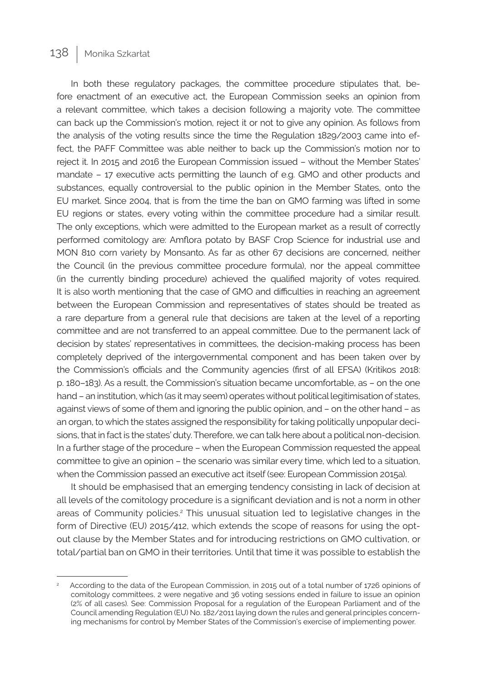In both these regulatory packages, the committee procedure stipulates that, before enactment of an executive act, the European Commission seeks an opinion from a relevant committee, which takes a decision following a majority vote. The committee can back up the Commission's motion, reject it or not to give any opinion. As follows from the analysis of the voting results since the time the Regulation 1829/2003 came into effect, the PAFF Committee was able neither to back up the Commission's motion nor to reject it. In 2015 and 2016 the European Commission issued – without the Member States' mandate – 17 executive acts permitting the launch of e.g. GMO and other products and substances, equally controversial to the public opinion in the Member States, onto the EU market. Since 2004, that is from the time the ban on GMO farming was lifted in some EU regions or states, every voting within the committee procedure had a similar result. The only exceptions, which were admitted to the European market as a result of correctly performed comitology are: Amflora potato by BASF Crop Science for industrial use and MON 810 corn variety by Monsanto. As far as other 67 decisions are concerned, neither the Council (in the previous committee procedure formula), nor the appeal committee (in the currently binding procedure) achieved the qualified majority of votes required. It is also worth mentioning that the case of GMO and difficulties in reaching an agreement between the European Commission and representatives of states should be treated as a rare departure from a general rule that decisions are taken at the level of a reporting committee and are not transferred to an appeal committee. Due to the permanent lack of decision by states' representatives in committees, the decision-making process has been completely deprived of the intergovernmental component and has been taken over by the Commission's officials and the Community agencies (first of all EFSA) (Kritikos 2018: p. 180–183). As a result, the Commission's situation became uncomfortable, as – on the one hand – an institution, which (as it may seem) operates without political legitimisation of states, against views of some of them and ignoring the public opinion, and – on the other hand – as an organ, to which the states assigned the responsibility for taking politically unpopular decisions, that in fact is the states' duty. Therefore, we can talk here about a political non-decision. In a further stage of the procedure – when the European Commission requested the appeal committee to give an opinion – the scenario was similar every time, which led to a situation, when the Commission passed an executive act itself (see: European Commission 2015a).

It should be emphasised that an emerging tendency consisting in lack of decision at all levels of the comitology procedure is a significant deviation and is not a norm in other areas of Community policies.<sup>2</sup> This unusual situation led to legislative changes in the form of Directive (EU) 2015/412, which extends the scope of reasons for using the optout clause by the Member States and for introducing restrictions on GMO cultivation, or total/partial ban on GMO in their territories. Until that time it was possible to establish the

<sup>2</sup>According to the data of the European Commission, in 2015 out of a total number of 1726 opinions of comitology committees, 2 were negative and 36 voting sessions ended in failure to issue an opinion (2% of all cases). See: Commission Proposal for a regulation of the European Parliament and of the Council amending Regulation (EU) No. 182/2011 laying down the rules and general principles concerning mechanisms for control by Member States of the Commission's exercise of implementing power.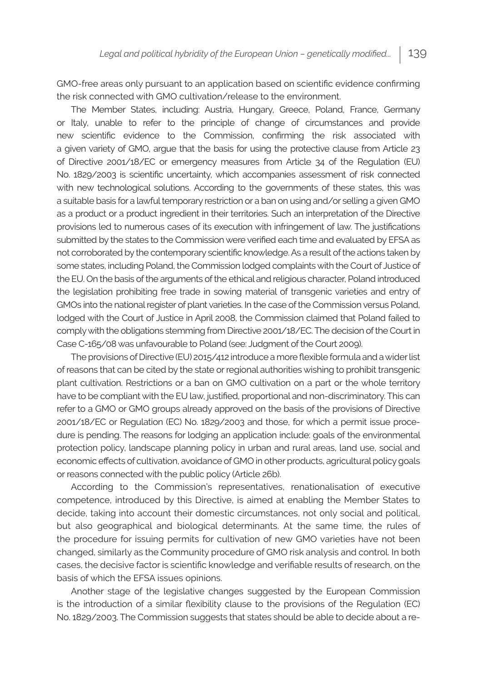GMO-free areas only pursuant to an application based on scientific evidence confirming the risk connected with GMO cultivation/release to the environment.

The Member States, including: Austria, Hungary, Greece, Poland, France, Germany or Italy, unable to refer to the principle of change of circumstances and provide new scientific evidence to the Commission, confirming the risk associated with a given variety of GMO, argue that the basis for using the protective clause from Article 23 of Directive 2001/18/EC or emergency measures from Article 34 of the Regulation (EU) No. 1829/2003 is scientific uncertainty, which accompanies assessment of risk connected with new technological solutions. According to the governments of these states, this was a suitable basis for a lawful temporary restriction or a ban on using and/or selling a given GMO as a product or a product ingredient in their territories. Such an interpretation of the Directive provisions led to numerous cases of its execution with infringement of law. The justifications submitted by the states to the Commission were verified each time and evaluated by EFSA as not corroborated by the contemporary scientific knowledge. As a result of the actions taken by some states, including Poland, the Commission lodged complaints with the Court of Justice of the EU. On the basis of the arguments of the ethical and religious character, Poland introduced the legislation prohibiting free trade in sowing material of transgenic varieties and entry of GMOs into the national register of plant varieties. In the case of the Commission versus Poland, lodged with the Court of Justice in April 2008, the Commission claimed that Poland failed to comply with the obligations stemming from Directive 2001/18/EC. The decision of the Court in Case C-165/08 was unfavourable to Poland (see: Judgment of the Court 2009).

The provisions of Directive (EU) 2015/412 introduce a more flexible formula and a wider list of reasons that can be cited by the state or regional authorities wishing to prohibit transgenic plant cultivation. Restrictions or a ban on GMO cultivation on a part or the whole territory have to be compliant with the EU law, justified, proportional and non-discriminatory. This can refer to a GMO or GMO groups already approved on the basis of the provisions of Directive 2001/18/EC or Regulation (EC) No. 1829/2003 and those, for which a permit issue procedure is pending. The reasons for lodging an application include: goals of the environmental protection policy, landscape planning policy in urban and rural areas, land use, social and economic effects of cultivation, avoidance of GMO in other products, agricultural policy goals or reasons connected with the public policy (Article 26b).

According to the Commission's representatives, renationalisation of executive competence, introduced by this Directive, is aimed at enabling the Member States to decide, taking into account their domestic circumstances, not only social and political, but also geographical and biological determinants. At the same time, the rules of the procedure for issuing permits for cultivation of new GMO varieties have not been changed, similarly as the Community procedure of GMO risk analysis and control. In both cases, the decisive factor is scientific knowledge and verifiable results of research, on the basis of which the EFSA issues opinions.

Another stage of the legislative changes suggested by the European Commission is the introduction of a similar flexibility clause to the provisions of the Regulation (EC) No. 1829/2003. The Commission suggests that states should be able to decide about a re-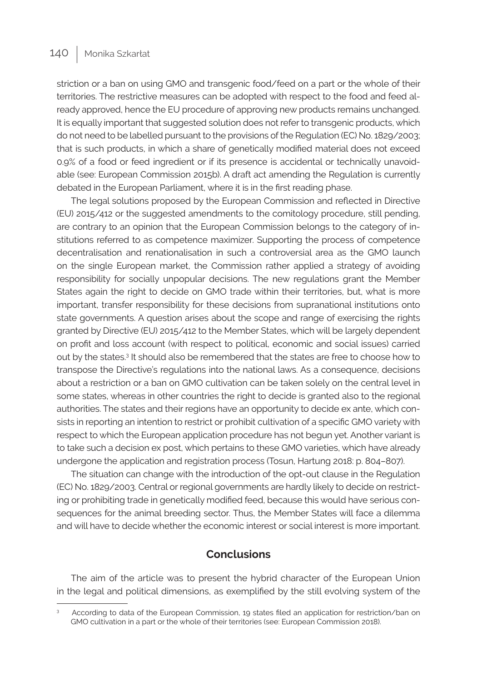striction or a ban on using GMO and transgenic food/feed on a part or the whole of their territories. The restrictive measures can be adopted with respect to the food and feed already approved, hence the EU procedure of approving new products remains unchanged. It is equally important that suggested solution does not refer to transgenic products, which do not need to be labelled pursuant to the provisions of the Regulation (EC) No. 1829/2003; that is such products, in which a share of genetically modified material does not exceed 0.9% of a food or feed ingredient or if its presence is accidental or technically unavoidable (see: European Commission 2015b). A draft act amending the Regulation is currently debated in the European Parliament, where it is in the first reading phase.

The legal solutions proposed by the European Commission and reflected in Directive (EU) 2015/412 or the suggested amendments to the comitology procedure, still pending, are contrary to an opinion that the European Commission belongs to the category of institutions referred to as competence maximizer. Supporting the process of competence decentralisation and renationalisation in such a controversial area as the GMO launch on the single European market, the Commission rather applied a strategy of avoiding responsibility for socially unpopular decisions. The new regulations grant the Member States again the right to decide on GMO trade within their territories, but, what is more important, transfer responsibility for these decisions from supranational institutions onto state governments. A question arises about the scope and range of exercising the rights granted by Directive (EU) 2015/412 to the Member States, which will be largely dependent on profit and loss account (with respect to political, economic and social issues) carried out by the states.<sup>3</sup> It should also be remembered that the states are free to choose how to transpose the Directive's regulations into the national laws. As a consequence, decisions about a restriction or a ban on GMO cultivation can be taken solely on the central level in some states, whereas in other countries the right to decide is granted also to the regional authorities. The states and their regions have an opportunity to decide ex ante, which consists in reporting an intention to restrict or prohibit cultivation of a specific GMO variety with respect to which the European application procedure has not begun yet. Another variant is to take such a decision ex post, which pertains to these GMO varieties, which have already undergone the application and registration process (Tosun, Hartung 2018: p. 804–807).

The situation can change with the introduction of the opt-out clause in the Regulation (EC) No. 1829/2003. Central or regional governments are hardly likely to decide on restricting or prohibiting trade in genetically modified feed, because this would have serious consequences for the animal breeding sector. Thus, the Member States will face a dilemma and will have to decide whether the economic interest or social interest is more important.

#### **Conclusions**

The aim of the article was to present the hybrid character of the European Union in the legal and political dimensions, as exemplified by the still evolving system of the

According to data of the European Commission, 19 states filed an application for restriction/ban on GMO cultivation in a part or the whole of their territories (see: European Commission 2018).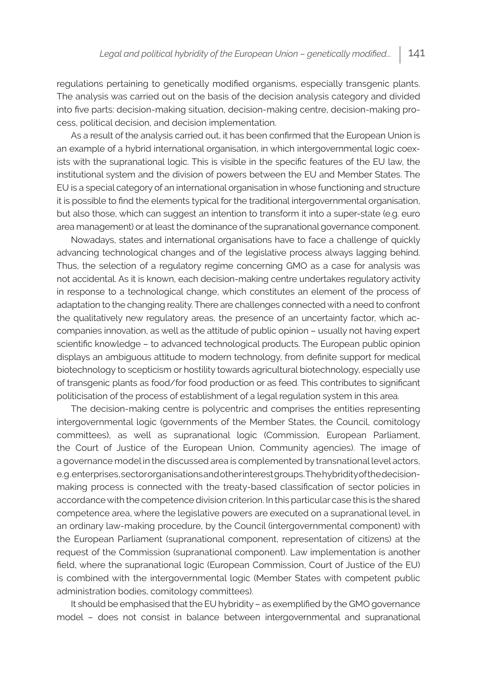regulations pertaining to genetically modified organisms, especially transgenic plants. The analysis was carried out on the basis of the decision analysis category and divided into five parts: decision-making situation, decision-making centre, decision-making process, political decision, and decision implementation.

As a result of the analysis carried out, it has been confirmed that the European Union is an example of a hybrid international organisation, in which intergovernmental logic coexists with the supranational logic. This is visible in the specific features of the EU law, the institutional system and the division of powers between the EU and Member States. The EU is a special category of an international organisation in whose functioning and structure it is possible to find the elements typical for the traditional intergovernmental organisation, but also those, which can suggest an intention to transform it into a super-state (e.g. euro area management) or at least the dominance of the supranational governance component.

Nowadays, states and international organisations have to face a challenge of quickly advancing technological changes and of the legislative process always lagging behind. Thus, the selection of a regulatory regime concerning GMO as a case for analysis was not accidental. As it is known, each decision-making centre undertakes regulatory activity in response to a technological change, which constitutes an element of the process of adaptation to the changing reality. There are challenges connected with a need to confront the qualitatively new regulatory areas, the presence of an uncertainty factor, which accompanies innovation, as well as the attitude of public opinion – usually not having expert scientific knowledge – to advanced technological products. The European public opinion displays an ambiguous attitude to modern technology, from definite support for medical biotechnology to scepticism or hostility towards agricultural biotechnology, especially use of transgenic plants as food/for food production or as feed. This contributes to significant politicisation of the process of establishment of a legal regulation system in this area.

The decision-making centre is polycentric and comprises the entities representing intergovernmental logic (governments of the Member States, the Council, comitology committees), as well as supranational logic (Commission, European Parliament, the Court of Justice of the European Union, Community agencies). The image of a governance model in the discussed area is complemented by transnational level actors, e.g. enterprises, sector organisations and other interest groups. The hybridity of the decisionmaking process is connected with the treaty-based classification of sector policies in accordance with the competence division criterion. In this particular case this is the shared competence area, where the legislative powers are executed on a supranational level, in an ordinary law-making procedure, by the Council (intergovernmental component) with the European Parliament (supranational component, representation of citizens) at the request of the Commission (supranational component). Law implementation is another field, where the supranational logic (European Commission, Court of Justice of the EU) is combined with the intergovernmental logic (Member States with competent public administration bodies, comitology committees).

It should be emphasised that the EU hybridity – as exemplified by the GMO governance model – does not consist in balance between intergovernmental and supranational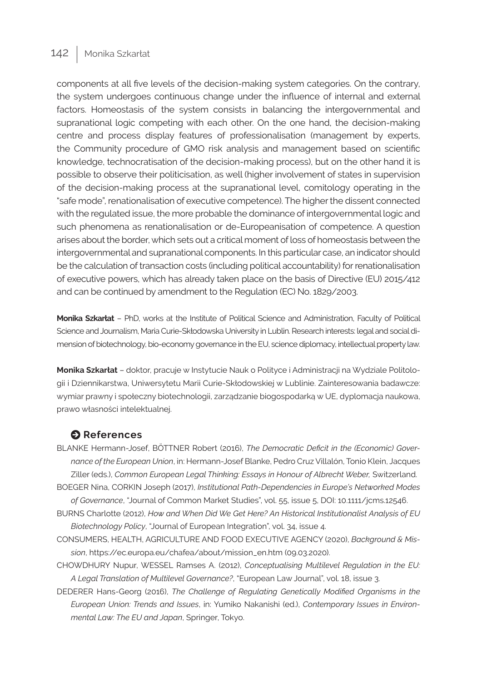components at all five levels of the decision-making system categories. On the contrary, the system undergoes continuous change under the influence of internal and external factors. Homeostasis of the system consists in balancing the intergovernmental and supranational logic competing with each other. On the one hand, the decision-making centre and process display features of professionalisation (management by experts, the Community procedure of GMO risk analysis and management based on scientific knowledge, technocratisation of the decision-making process), but on the other hand it is possible to observe their politicisation, as well (higher involvement of states in supervision of the decision-making process at the supranational level, comitology operating in the "safe mode", renationalisation of executive competence). The higher the dissent connected with the regulated issue, the more probable the dominance of intergovernmental logic and such phenomena as renationalisation or de-Europeanisation of competence. A question arises about the border, which sets out a critical moment of loss of homeostasis between the intergovernmental and supranational components. In this particular case, an indicator should be the calculation of transaction costs (including political accountability) for renationalisation of executive powers, which has already taken place on the basis of Directive (EU) 2015/412 and can be continued by amendment to the Regulation (EC) No. 1829/2003.

**Monika Szkarłat** – PhD, works at the Institute of Political Science and Administration, Faculty of Political Science and Journalism, Maria Curie-Skłodowska University in Lublin. Research interests: legal and social dimension of biotechnology, bio-economy governance in the EU, science diplomacy, intellectual property law.

**Monika Szkarłat** – doktor, pracuje w Instytucie Nauk o Polityce i Administracji na Wydziale Politologii i Dziennikarstwa, Uniwersytetu Marii Curie-Skłodowskiej w Lublinie. Zainteresowania badawcze: wymiar prawny i społeczny biotechnologii, zarządzanie biogospodarką w UE, dyplomacja naukowa, prawo własności intelektualnej.

### $\Theta$  References

- BLANKE Hermann-Josef, BÖTTNER Robert (2016), *The Democratic Deficit in the (Economic) Governance of the European Union*, in: Hermann-Josef Blanke, Pedro Cruz Villalón, Tonio Klein, Jacques Ziller (eds.), *Common European Legal Thinking: Essays in Honour of Albrecht Weber,* Switzerland. BOEGER Nina, CORKIN Joseph (2017), *Institutional Path-Dependencies in Europe's Networked Modes*
- *of Governance*, "Journal of Common Market Studies", vol. 55, issue 5, DOI: 10.1111/jcms.12546. BURNS Charlotte (2012), *How and When Did We Get Here? An Historical Institutionalist Analysis of EU Biotechnology Policy*, "Journal of European Integration", vol. 34, issue 4.
- CONSUMERS, HEALTH, AGRICULTURE AND FOOD EXECUTIVE AGENCY (2020), *Background & Mission*, https://ec.europa.eu/chafea/about/mission\_en.htm (09.03.2020).
- CHOWDHURY Nupur, WESSEL Ramses A. (2012), *Conceptualising Multilevel Regulation in the EU: A Legal Translation of Multilevel Governance?*, "European Law Journal", vol. 18, issue 3.
- DEDERER Hans-Georg (2016), *The Challenge of Regulating Genetically Modified Organisms in the European Union: Trends and Issues*, in: Yumiko Nakanishi (ed.), *Contemporary Issues in Environmental Law: The EU and Japan*, Springer, Tokyo.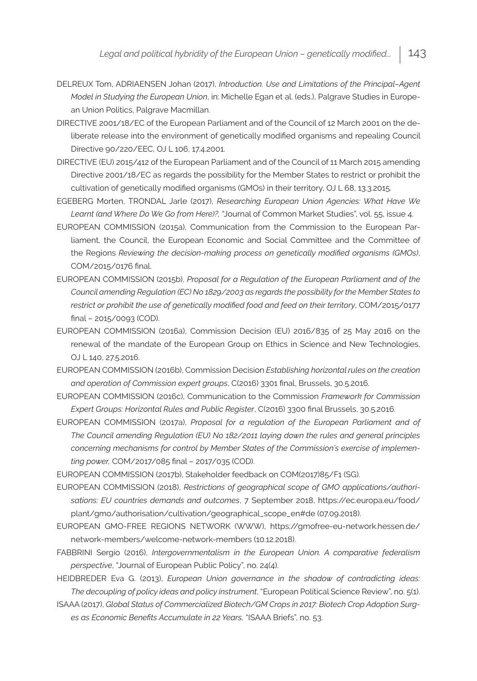- DELREUX Tom, ADRIAENSEN Johan (2017), *Introduction. Use and Limitations of the Principal–Agent Model in Studying the European Union*, in: Michelle Egan et al. (eds.), Palgrave Studies in European Union Politics, Palgrave Macmillan.
- DIRECTIVE 2001/18/EC of the European Parliament and of the Council of 12 March 2001 on the deliberate release into the environment of genetically modified organisms and repealing Council Directive 90/220/EEC, OJ L 106, 17.4.2001.
- DIRECTIVE (EU) 2015/412 of the European Parliament and of the Council of 11 March 2015 amending Directive 2001/18/EC as regards the possibility for the Member States to restrict or prohibit the cultivation of genetically modified organisms (GMOs) in their territory, OJ L 68, 13.3.2015.
- EGEBERG Morten, TRONDAL Jarle (2017), *Researching European Union Agencies: What Have We Learnt (and Where Do We Go from Here)?,* "Journal of Common Market Studies", vol. 55, issue 4.
- EUROPEAN COMMISSION (2015a), Communication from the Commission to the European Parliament, the Council, the European Economic and Social Committee and the Committee of the Regions *Reviewing the decision-making process on genetically modified organisms (GMOs)*, COM/2015/0176 final.
- EUROPEAN COMMISSION (2015b), *Proposal for a Regulation of the European Parliament and of the Council amending Regulation (EC) No 1829/2003 as regards the possibility for the Member States to restrict or prohibit the use of genetically modified food and feed on their territory*, COM/2015/0177 final – 2015/0093 (COD).
- EUROPEAN COMMISSION (2016a), Commission Decision (EU) 2016/835 of 25 May 2016 on the renewal of the mandate of the European Group on Ethics in Science and New Technologies, OJ L 140, 27.5.2016.
- EUROPEAN COMMISSION (2016b), Commission Decision *Establishing horizontal rules on the creation and operation of Commission expert groups*, C(2016) 3301 final, Brussels, 30.5.2016.
- EUROPEAN COMMISSION (2016c), Communication to the Commission *Framework for Commission Expert Groups: Horizontal Rules and Public Register*, C(2016) 3300 final Brussels, 30.5.2016.
- EUROPEAN COMMISSION (2017a), *Proposal for a regulation of the European Parliament and of The Council amending Regulation (EU) No 182/2011 laying down the rules and general principles concerning mechanisms for control by Member States of the Commission's exercise of implementing power,* COM/2017/085 final – 2017/035 (COD).

EUROPEAN COMMISSION (2017b), Stakeholder feedback on COM(2017)85/F1 (SG).

- EUROPEAN COMMISSION (2018), *Restrictions of geographical scope of GMO applications/authorisations: EU countries demands and outcomes*, 7 September 2018, https://ec.europa.eu/food/ plant/gmo/authorisation/cultivation/geographical\_scope\_en#de (07.09.2018).
- EUROPEAN GMO-FREE REGIONS NETWORK (WWW), https://gmofree-eu-network.hessen.de/ network-members/welcome-network-members (10.12.2018).
- FABBRINI Sergio (2016), *Intergovernmentalism in the European Union. A comparative federalism perspective*, "Journal of European Public Policy", no. 24(4).
- HEIDBREDER Eva G. (2013), *European Union governance in the shadow of contradicting ideas: The decoupling of policy ideas and policy instrument*, "European Political Science Review", no. 5(1).
- ISAAA (2017), *Global Status of Commercialized Biotech/GM Crops in 2017: Biotech Crop Adoption Surges as Economic Benefits Accumulate in 22 Years,* "ISAAA Briefs", no. 53.